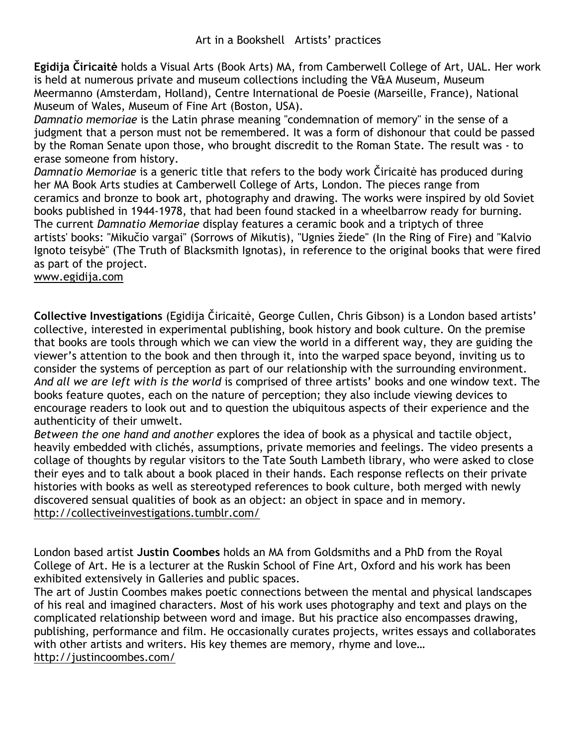**Egidija Čiricaitė** holds a Visual Arts (Book Arts) MA, from Camberwell College of Art, UAL. Her work is held at numerous private and museum collections including the V&A Museum, Museum Meermanno (Amsterdam, Holland), Centre International de Poesie (Marseille, France), National Museum of Wales, Museum of Fine Art (Boston, USA).

*Damnatio memoriae* is the Latin phrase meaning "condemnation of memory" in the sense of a judgment that a person must not be remembered. It was a form of dishonour that could be passed by the Roman Senate upon those, who brought discredit to the Roman State. The result was - to erase someone from history.

*Damnatio Memoriae* is a generic title that refers to the body work Čiricaitė has produced during her MA Book Arts studies at Camberwell College of Arts, London. The pieces range from ceramics and bronze to book art, photography and drawing. The works were inspired by old Soviet books published in 1944-1978, that had been found stacked in a wheelbarrow ready for burning. The current *Damnatio Memoriae* display features a ceramic book and a triptych of three artists' books: "Mikučio vargai" (Sorrows of Mikutis), "Ugnies žiede" (In the Ring of Fire) and "Kalvio Ignoto teisybė" (The Truth of Blacksmith Ignotas), in reference to the original books that were fired as part of the project.

www.egidija.com

**Collective Investigations** (Egidija Čiricaitė, George Cullen, Chris Gibson) is a London based artists' collective, interested in experimental publishing, book history and book culture. On the premise that books are tools through which we can view the world in a different way, they are guiding the viewer's attention to the book and then through it, into the warped space beyond, inviting us to consider the systems of perception as part of our relationship with the surrounding environment. *And all we are left with is the world* is comprised of three artists' books and one window text. The books feature quotes, each on the nature of perception; they also include viewing devices to encourage readers to look out and to question the ubiquitous aspects of their experience and the authenticity of their umwelt.

*Between the one hand and another* explores the idea of book as a physical and tactile object, heavily embedded with clichés, assumptions, private memories and feelings. The video presents a collage of thoughts by regular visitors to the Tate South Lambeth library, who were asked to close their eyes and to talk about a book placed in their hands. Each response reflects on their private histories with books as well as stereotyped references to book culture, both merged with newly discovered sensual qualities of book as an object: an object in space and in memory. http://collectiveinvestigations.tumblr.com/

London based artist **Justin Coombes** holds an MA from Goldsmiths and a PhD from the Royal College of Art. He is a lecturer at the Ruskin School of Fine Art, Oxford and his work has been exhibited extensively in Galleries and public spaces.

The art of Justin Coombes makes poetic connections between the mental and physical landscapes of his real and imagined characters. Most of his work uses photography and text and plays on the complicated relationship between word and image. But his practice also encompasses drawing, publishing, performance and film. He occasionally curates projects, writes essays and collaborates with other artists and writers. His key themes are memory, rhyme and love… http://justincoombes.com/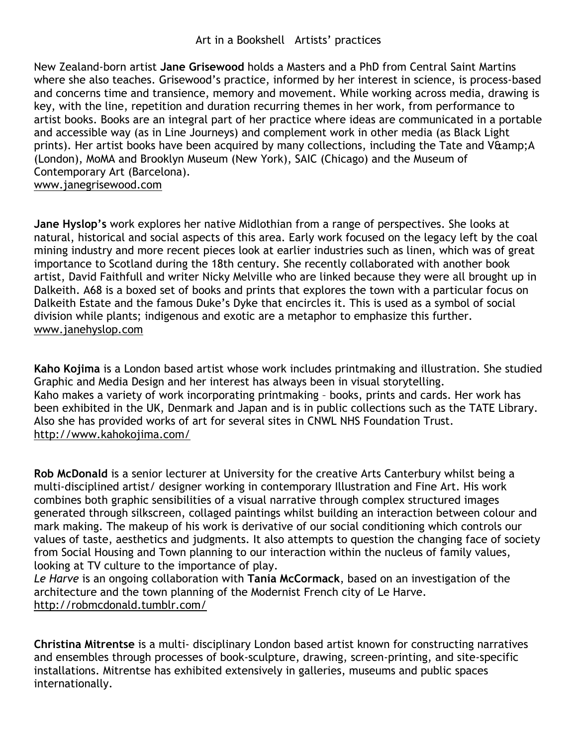New Zealand-born artist **Jane Grisewood** holds a Masters and a PhD from Central Saint Martins where she also teaches. Grisewood's practice, informed by her interest in science, is process-based and concerns time and transience, memory and movement. While working across media, drawing is key, with the line, repetition and duration recurring themes in her work, from performance to artist books. Books are an integral part of her practice where ideas are communicated in a portable and accessible way (as in Line Journeys) and complement work in other media (as Black Light prints). Her artist books have been acquired by many collections, including the Tate and V&amp:A (London), MoMA and Brooklyn Museum (New York), SAIC (Chicago) and the Museum of Contemporary Art (Barcelona). www.janegrisewood.com

**Jane Hyslop's** work explores her native Midlothian from a range of perspectives. She looks at natural, historical and social aspects of this area. Early work focused on the legacy left by the coal mining industry and more recent pieces look at earlier industries such as linen, which was of great importance to Scotland during the 18th century. She recently collaborated with another book artist, David Faithfull and writer Nicky Melville who are linked because they were all brought up in Dalkeith. A68 is a boxed set of books and prints that explores the town with a particular focus on Dalkeith Estate and the famous Duke's Dyke that encircles it. This is used as a symbol of social division while plants; indigenous and exotic are a metaphor to emphasize this further. www.janehyslop.com

**Kaho Kojima** is a London based artist whose work includes printmaking and illustration. She studied Graphic and Media Design and her interest has always been in visual storytelling. Kaho makes a variety of work incorporating printmaking – books, prints and cards. Her work has been exhibited in the UK, Denmark and Japan and is in public collections such as the TATE Library. Also she has provided works of art for several sites in CNWL NHS Foundation Trust. http://www.kahokojima.com/

**Rob McDonald** is a senior lecturer at University for the creative Arts Canterbury whilst being a multi-disciplined artist/ designer working in contemporary Illustration and Fine Art. His work combines both graphic sensibilities of a visual narrative through complex structured images generated through silkscreen, collaged paintings whilst building an interaction between colour and mark making. The makeup of his work is derivative of our social conditioning which controls our values of taste, aesthetics and judgments. It also attempts to question the changing face of society from Social Housing and Town planning to our interaction within the nucleus of family values, looking at TV culture to the importance of play.

*Le Harve* is an ongoing collaboration with **Tania McCormack**, based on an investigation of the architecture and the town planning of the Modernist French city of Le Harve. http://robmcdonald.tumblr.com/

**Christina Mitrentse** is a multi- disciplinary London based artist known for constructing narratives and ensembles through processes of book-sculpture, drawing, screen-printing, and site-specific installations. Mitrentse has exhibited extensively in galleries, museums and public spaces internationally.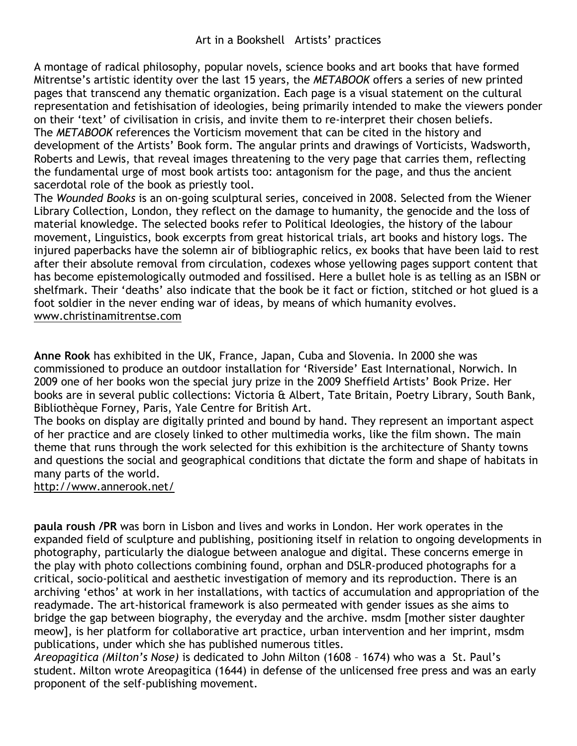A montage of radical philosophy, popular novels, science books and art books that have formed Mitrentse's artistic identity over the last 15 years, the *METABOOK* offers a series of new printed pages that transcend any thematic organization. Each page is a visual statement on the cultural representation and fetishisation of ideologies, being primarily intended to make the viewers ponder on their 'text' of civilisation in crisis, and invite them to re-interpret their chosen beliefs. The *METABOOK* references the Vorticism movement that can be cited in the history and development of the Artists' Book form. The angular prints and drawings of Vorticists, Wadsworth, Roberts and Lewis, that reveal images threatening to the very page that carries them, reflecting the fundamental urge of most book artists too: antagonism for the page, and thus the ancient sacerdotal role of the book as priestly tool.

The *Wounded Books* is an on-going sculptural series, conceived in 2008. Selected from the Wiener Library Collection, London, they reflect on the damage to humanity, the genocide and the loss of material knowledge. The selected books refer to Political Ideologies, the history of the labour movement, Linguistics, book excerpts from great historical trials, art books and history logs. The injured paperbacks have the solemn air of bibliographic relics, ex books that have been laid to rest after their absolute removal from circulation, codexes whose yellowing pages support content that has become epistemologically outmoded and fossilised. Here a bullet hole is as telling as an ISBN or shelfmark. Their 'deaths' also indicate that the book be it fact or fiction, stitched or hot glued is a foot soldier in the never ending war of ideas, by means of which humanity evolves. www.christinamitrentse.com

**Anne Rook** has exhibited in the UK, France, Japan, Cuba and Slovenia. In 2000 she was commissioned to produce an outdoor installation for 'Riverside' East International, Norwich. In 2009 one of her books won the special jury prize in the 2009 Sheffield Artists' Book Prize. Her books are in several public collections: Victoria & Albert, Tate Britain, Poetry Library, South Bank, Bibliothèque Forney, Paris, Yale Centre for British Art.

The books on display are digitally printed and bound by hand. They represent an important aspect of her practice and are closely linked to other multimedia works, like the film shown. The main theme that runs through the work selected for this exhibition is the architecture of Shanty towns and questions the social and geographical conditions that dictate the form and shape of habitats in many parts of the world.

http://www.annerook.net/

**paula roush /PR** was born in Lisbon and lives and works in London. Her work operates in the expanded field of sculpture and publishing, positioning itself in relation to ongoing developments in photography, particularly the dialogue between analogue and digital. These concerns emerge in the play with photo collections combining found, orphan and DSLR-produced photographs for a critical, socio-political and aesthetic investigation of memory and its reproduction. There is an archiving 'ethos' at work in her installations, with tactics of accumulation and appropriation of the readymade. The art-historical framework is also permeated with gender issues as she aims to bridge the gap between biography, the everyday and the archive. msdm [mother sister daughter meow], is her platform for collaborative art practice, urban intervention and her imprint, msdm publications, under which she has published numerous titles.

*Areopagitica (Milton's Nose)* is dedicated to John Milton (1608 – 1674) who was a St. Paul's student. Milton wrote Areopagitica (1644) in defense of the unlicensed free press and was an early proponent of the self-publishing movement.